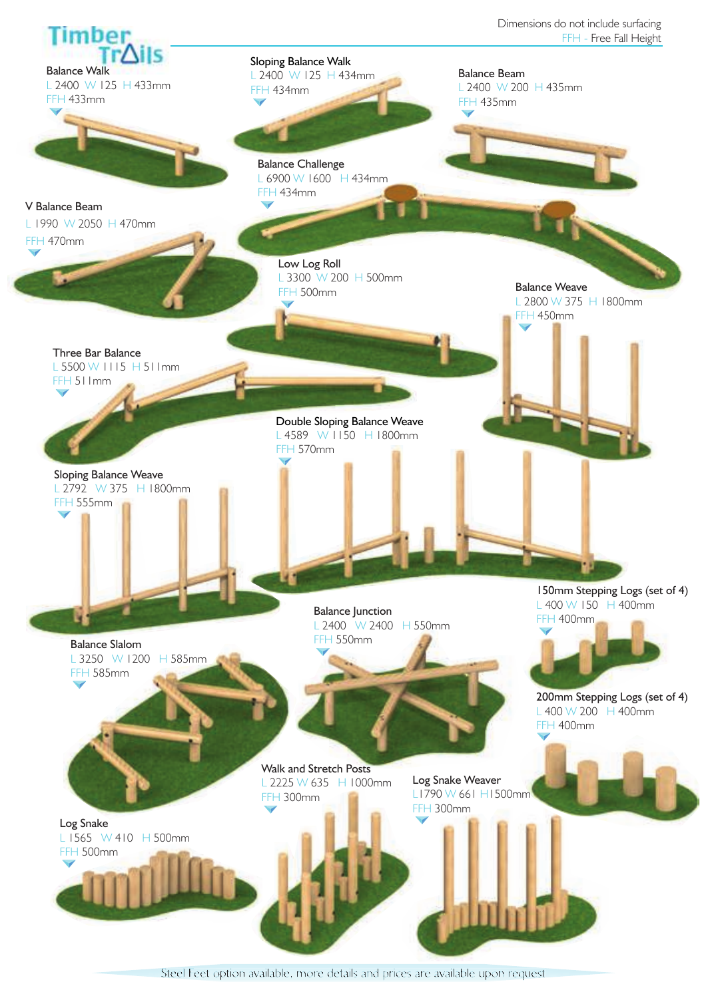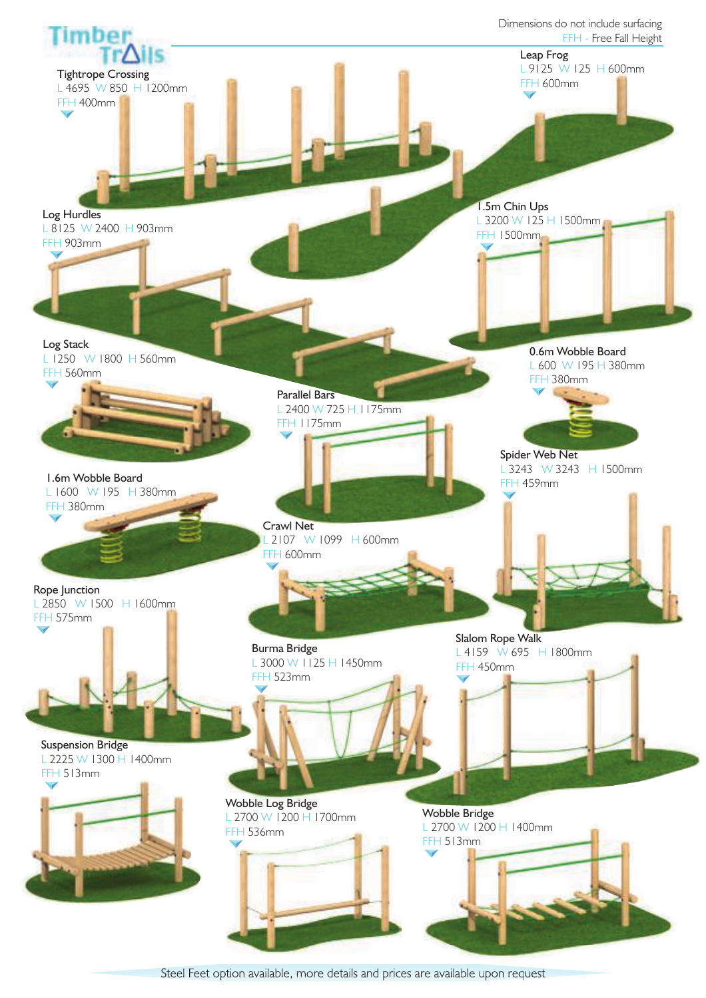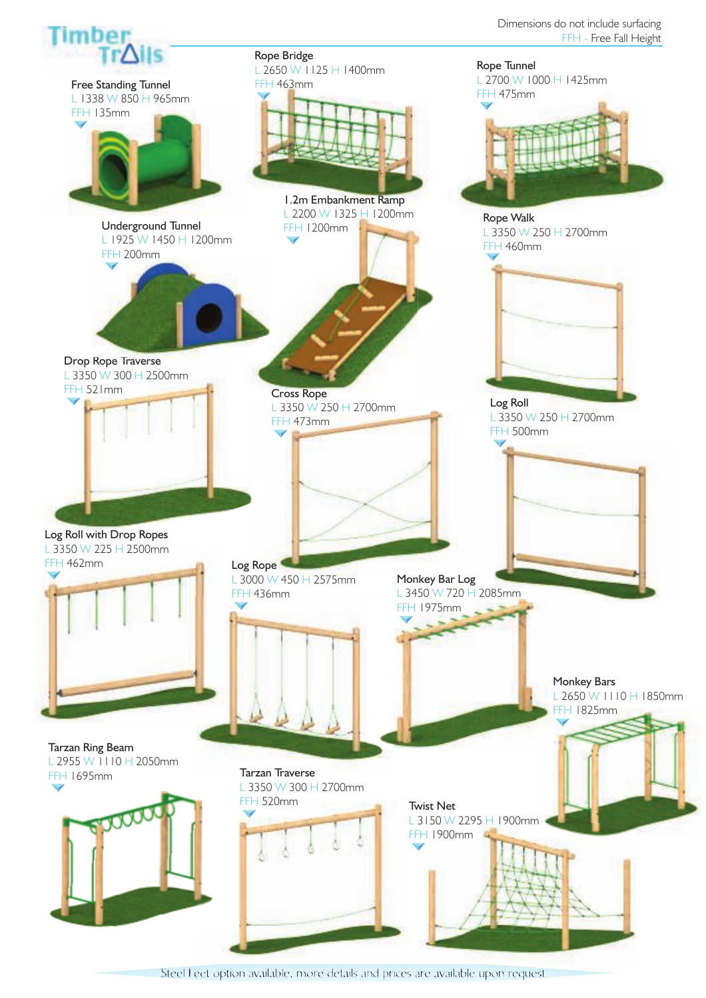